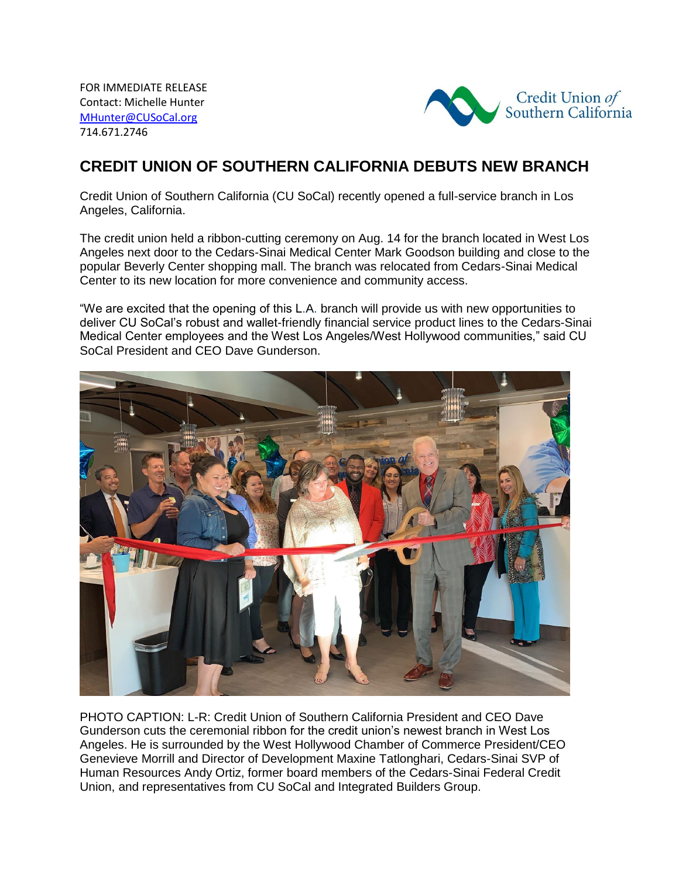FOR IMMEDIATE RELEASE Contact: Michelle Hunter MHunter@CUSoCal.org 714.671.2746



## **CREDIT UNION OF SOUTHERN CALIFORNIA DEBUTS NEW BRANCH**

Credit Union of Southern California (CU SoCal) recently opened a full-service branch in Los Angeles, California.

The credit union held a ribbon-cutting ceremony on Aug. 14 for the branch located in West Los Angeles next door to the Cedars-Sinai Medical Center Mark Goodson building and close to the popular Beverly Center shopping mall. The branch was relocated from Cedars-Sinai Medical Center to its new location for more convenience and community access.

"We are excited that the opening of this L.A. branch will provide us with new opportunities to deliver CU SoCal's robust and wallet-friendly financial service product lines to the Cedars-Sinai Medical Center employees and the West Los Angeles/West Hollywood communities," said CU SoCal President and CEO Dave Gunderson.



PHOTO CAPTION: L-R: Credit Union of Southern California President and CEO Dave Gunderson cuts the ceremonial ribbon for the credit union's newest branch in West Los Angeles. He is surrounded by the West Hollywood Chamber of Commerce President/CEO Genevieve Morrill and Director of Development Maxine Tatlonghari, Cedars-Sinai SVP of Human Resources Andy Ortiz, former board members of the Cedars-Sinai Federal Credit Union, and representatives from CU SoCal and Integrated Builders Group.